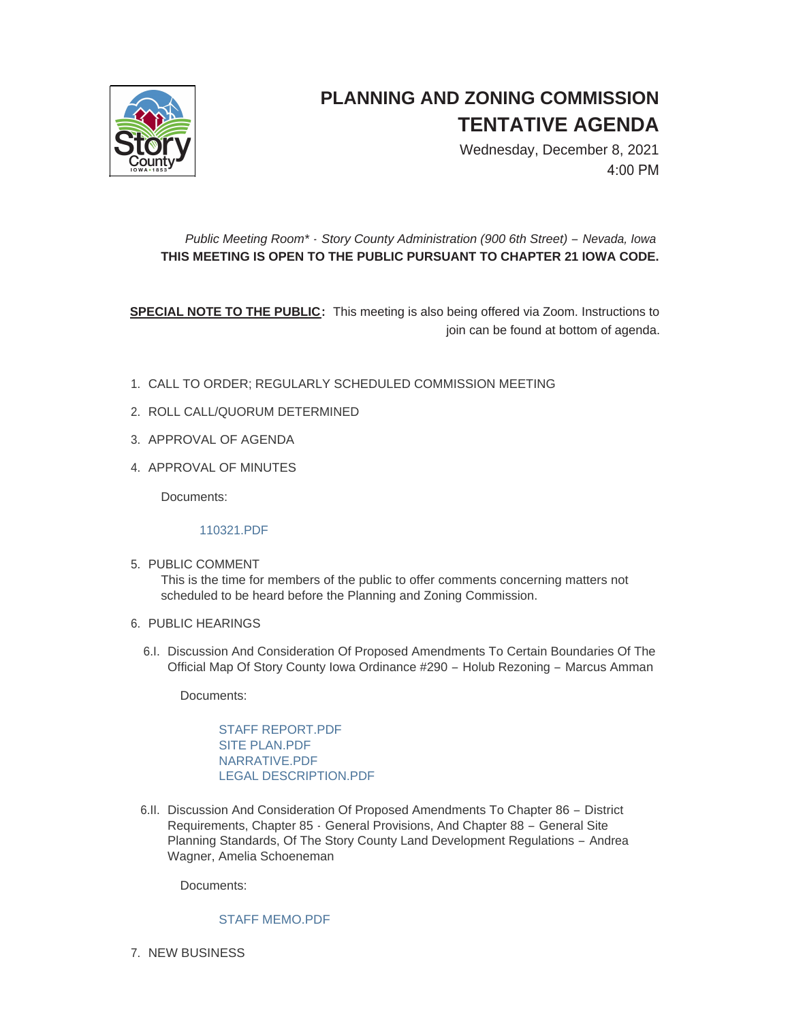

## **PLANNING AND ZONING COMMISSION TENTATIVE AGENDA**

Wednesday, December 8, 2021 4:00 PM

## *Public Meeting Room\* - Story County Administration (900 6th Street) – Nevada, Iowa* **THIS MEETING IS OPEN TO THE PUBLIC PURSUANT TO CHAPTER 21 IOWA CODE.**

**SPECIAL NOTE TO THE PUBLIC:** This meeting is also being offered via Zoom. Instructions to join can be found at bottom of agenda.

- CALL TO ORDER; REGULARLY SCHEDULED COMMISSION MEETING 1.
- 2. ROLL CALL/QUORUM DETERMINED
- 3. APPROVAL OF AGENDA
- 4. APPROVAL OF MINUTES

Documents:

[110321.PDF](http://www.storycountyiowa.gov/AgendaCenter/ViewFile/Item/22863?fileID=17307)

5. PUBLIC COMMENT

This is the time for members of the public to offer comments concerning matters not scheduled to be heard before the Planning and Zoning Commission.

- 6. PUBLIC HEARINGS
	- 6.I. Discussion And Consideration Of Proposed Amendments To Certain Boundaries Of The Official Map Of Story County Iowa Ordinance #290 – Holub Rezoning – Marcus Amman

Documents:

[STAFF REPORT.PDF](http://www.storycountyiowa.gov/AgendaCenter/ViewFile/Item/22864?fileID=17308) [SITE PLAN.PDF](http://www.storycountyiowa.gov/AgendaCenter/ViewFile/Item/22864?fileID=17311) [NARRATIVE.PDF](http://www.storycountyiowa.gov/AgendaCenter/ViewFile/Item/22864?fileID=17309) [LEGAL DESCRIPTION.PDF](http://www.storycountyiowa.gov/AgendaCenter/ViewFile/Item/22864?fileID=17310)

6.II. Discussion And Consideration Of Proposed Amendments To Chapter 86 - District Requirements, Chapter 85 - General Provisions, And Chapter 88 – General Site Planning Standards, Of The Story County Land Development Regulations – Andrea Wagner, Amelia Schoeneman

Documents:

## [STAFF MEMO.PDF](http://www.storycountyiowa.gov/AgendaCenter/ViewFile/Item/22862?fileID=17315)

7. NEW BUSINESS